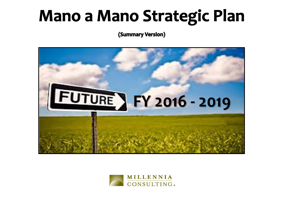# **Mano a Mano Strategic Plan**

(Summary Version)



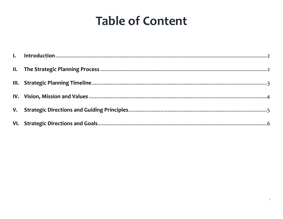## **Table of Content**

 $\mathbf{1}$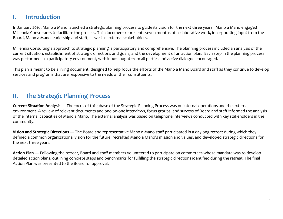#### <span id="page-2-0"></span>**I. Introduction**

In January 2016, Mano a Mano launched a strategic planning process to guide its vision for the next three years. Mano a Mano engaged Millennia Consultants to facilitate the process. This document represents seven months of collaborative work, incorporating input from the Board, Mano a Mano leadership and staff, as well as external stakeholders.

Millennia Consulting's approach to strategic planning is participatory and comprehensive. The planning process included an analysis of the current situation, establishment of strategic directions and goals, and the development of an action plan. Each step in the planning process was performed in a participatory environment, with input sought from all parties and active dialogue encouraged.

This plan is meant to be a living document, designed to help focus the efforts of the Mano a Mano Board and staff as they continue to develop services and programs that are responsive to the needs of their constituents.

#### <span id="page-2-1"></span>**II. The Strategic Planning Process**

**Current Situation Analysis** — The focus of this phase of the Strategic Planning Process was on internal operations and the external environment. A review of relevant documents and one-on-one interviews, focus groups, and surveys of Board and staff informed the analysis of the internal capacities of Mano a Mano. The external analysis was based on telephone interviews conducted with key stakeholders in the community.

**Vision and Strategic Directions** — The Board and representative Mano a Mano staff participated in a daylong retreat during which they defined a common organizational vision for the future, recrafted Mano a Mano's mission and values, and developed strategic directions for the next three years.

Action Plan — Following the retreat, Board and staff members volunteered to participate on committees whose mandate was to develop detailed action plans, outlining concrete steps and benchmarks for fulfilling the strategic directions identified during the retreat. The final Action Plan was presented to the Board for approval.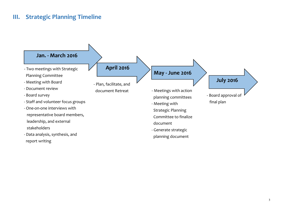#### <span id="page-3-0"></span>**III. Strategic Planning Timeline**

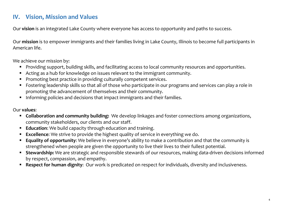#### <span id="page-4-0"></span>**IV. Vision, Mission and Values**

Our **vision** is an integrated Lake County where everyone has access to opportunity and paths to success.

Our **mission** is to empower immigrants and their families living in Lake County, Illinois to become full participants in American life.

We achieve our mission by:

- Providing support, building skills, and facilitating access to local community resources and opportunities.
- Acting as a hub for knowledge on issues relevant to the immigrant community.
- **Promoting best practice in providing culturally competent services.**
- Fostering leadership skills so that all of those who participate in our programs and services can play a role in promoting the advancement of themselves and their community.
- Informing policies and decisions that impact immigrants and their families.

#### Our **values**:

- **Collaboration and community building:** We develop linkages and foster connections among organizations, community stakeholders, our clients and our staff.
- **Education:** We build capacity through education and training.
- **Excellence**: We strive to provide the highest quality of service in everything we do.
- **Equality of opportunity**: We believe in everyone's ability to make a contribution and that the community is strengthened when people are given the opportunity to live their lives to their fullest potential.
- **Stewardship:** We are strategic and responsible stewards of our resources, making data-driven decisions informed by respect, compassion, and empathy.
- **Respect for human dignity**: Our work is predicated on respect for individuals, diversity and inclusiveness.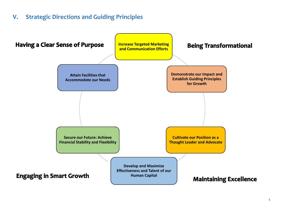#### <span id="page-5-0"></span>**V. Strategic Directions and Guiding Principles**